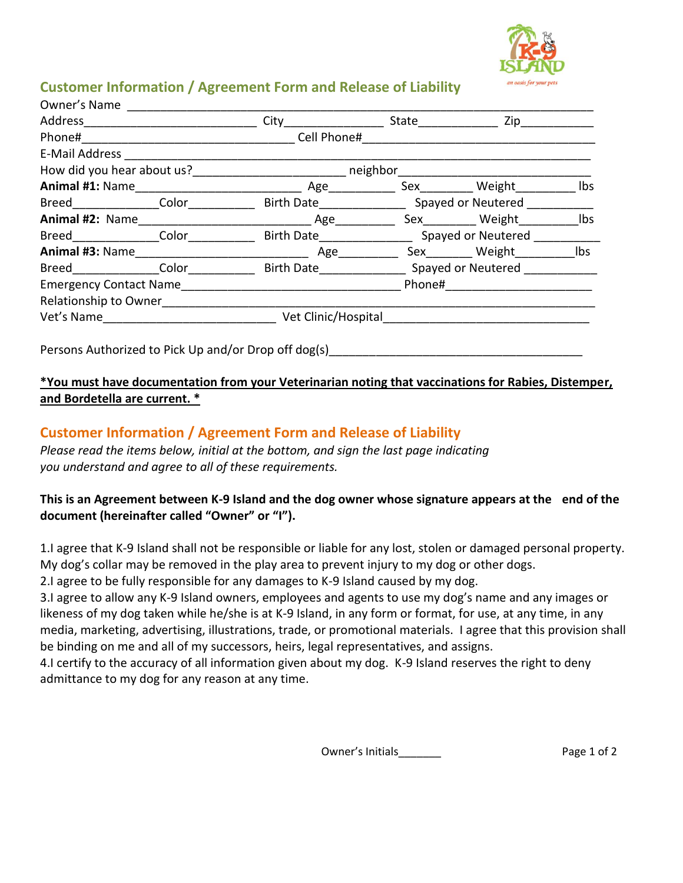

## **Customer Information / Agreement Form and Release of Liability**

| Owner's Name                                               |                                                      |                        |                    |                                                                                                                 |     |
|------------------------------------------------------------|------------------------------------------------------|------------------------|--------------------|-----------------------------------------------------------------------------------------------------------------|-----|
| Address ___________________________                        |                                                      | City                   | State ____________ | $Zip_$                                                                                                          |     |
| Phone#<br><u> 1980 - Johann Barbara, martin da kasas a</u> |                                                      | Cell Phone#            |                    |                                                                                                                 |     |
|                                                            | E-Mail Address <b>E-Mail Address</b>                 |                        |                    |                                                                                                                 |     |
| How did you hear about us?<br>Management of the neighbor   |                                                      |                        |                    |                                                                                                                 |     |
|                                                            |                                                      |                        |                    | Sex Weight                                                                                                      | Ibs |
|                                                            | Breed Color Color                                    |                        |                    |                                                                                                                 |     |
|                                                            |                                                      |                        |                    | Sex Weight                                                                                                      | Ibs |
|                                                            | Breed Color                                          |                        |                    | Birth Date Spayed or Neutered                                                                                   |     |
|                                                            |                                                      | Age                    |                    | Sex Weight                                                                                                      | Ibs |
|                                                            |                                                      | Breed Color Birth Date |                    | Spayed or Neutered                                                                                              |     |
| Emergency Contact Name <b>Example 2018</b>                 |                                                      |                        |                    | Phone# and a set of the set of the set of the set of the set of the set of the set of the set of the set of the |     |
|                                                            | Relationship to Owner                                |                        |                    |                                                                                                                 |     |
| Vet's Name                                                 |                                                      | Vet Clinic/Hospital    |                    |                                                                                                                 |     |
|                                                            |                                                      |                        |                    |                                                                                                                 |     |
|                                                            | Persons Authorized to Pick Up and/or Drop off dog(s) |                        |                    |                                                                                                                 |     |

## **\*You must have documentation from your Veterinarian noting that vaccinations for Rabies, Distemper, and Bordetella are current. \***

## **Customer Information / Agreement Form and Release of Liability**

*Please read the items below, initial at the bottom, and sign the last page indicating you understand and agree to all of these requirements.*

## **This is an Agreement between K-9 Island and the dog owner whose signature appears at the end of the document (hereinafter called "Owner" or "I").**

1.I agree that K-9 Island shall not be responsible or liable for any lost, stolen or damaged personal property. My dog's collar may be removed in the play area to prevent injury to my dog or other dogs.

2.I agree to be fully responsible for any damages to K-9 Island caused by my dog.

3.I agree to allow any K-9 Island owners, employees and agents to use my dog's name and any images or likeness of my dog taken while he/she is at K-9 Island, in any form or format, for use, at any time, in any media, marketing, advertising, illustrations, trade, or promotional materials. I agree that this provision shall be binding on me and all of my successors, heirs, legal representatives, and assigns.

4.I certify to the accuracy of all information given about my dog. K-9 Island reserves the right to deny admittance to my dog for any reason at any time.

Owner's Initials\_\_\_\_\_\_\_\_\_ Page 1 of 2